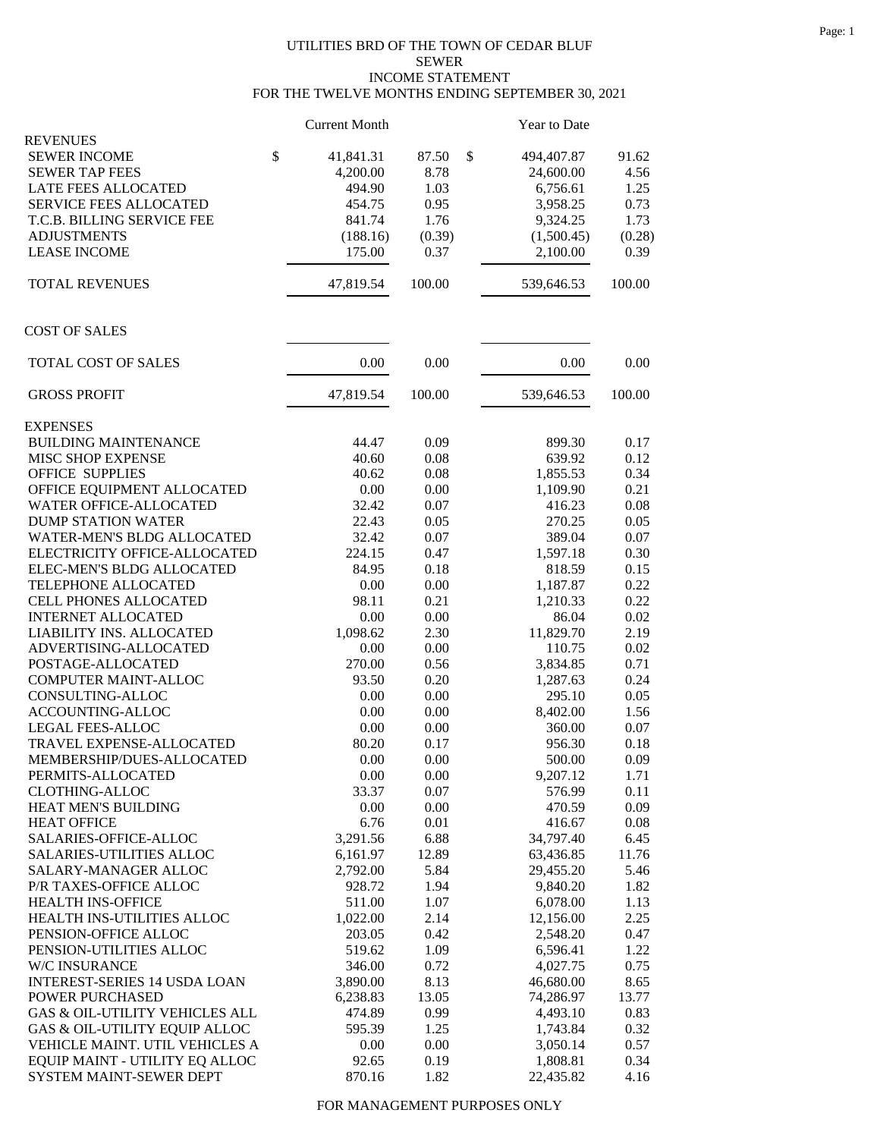## UTILITIES BRD OF THE TOWN OF CEDAR BLUF SEWER INCOME STATEMENT FOR THE TWELVE MONTHS ENDING SEPTEMBER 30, 2021

|                                     | <b>Current Month</b> |          | Year to Date     |        |
|-------------------------------------|----------------------|----------|------------------|--------|
| <b>REVENUES</b>                     |                      |          |                  |        |
| <b>SEWER INCOME</b>                 | \$<br>41,841.31      | 87.50    | \$<br>494,407.87 | 91.62  |
| <b>SEWER TAP FEES</b>               | 4,200.00             | 8.78     | 24,600.00        | 4.56   |
| LATE FEES ALLOCATED                 | 494.90               | 1.03     | 6,756.61         | 1.25   |
| SERVICE FEES ALLOCATED              | 454.75               | 0.95     | 3,958.25         | 0.73   |
| T.C.B. BILLING SERVICE FEE          | 841.74               | 1.76     | 9,324.25         | 1.73   |
| <b>ADJUSTMENTS</b>                  | (188.16)             | (0.39)   | (1,500.45)       | (0.28) |
| <b>LEASE INCOME</b>                 | 175.00               | 0.37     | 2,100.00         | 0.39   |
| <b>TOTAL REVENUES</b>               | 47,819.54            | 100.00   | 539,646.53       | 100.00 |
| <b>COST OF SALES</b>                |                      |          |                  |        |
| TOTAL COST OF SALES                 | 0.00                 | 0.00     | 0.00             | 0.00   |
| <b>GROSS PROFIT</b>                 | 47,819.54            | 100.00   | 539,646.53       | 100.00 |
| <b>EXPENSES</b>                     |                      |          |                  |        |
| <b>BUILDING MAINTENANCE</b>         | 44.47                | 0.09     | 899.30           | 0.17   |
| MISC SHOP EXPENSE                   | 40.60                | 0.08     | 639.92           | 0.12   |
| <b>OFFICE SUPPLIES</b>              | 40.62                | 0.08     | 1,855.53         | 0.34   |
| OFFICE EQUIPMENT ALLOCATED          | 0.00                 | 0.00     | 1,109.90         | 0.21   |
| WATER OFFICE-ALLOCATED              | 32.42                | 0.07     | 416.23           | 0.08   |
| <b>DUMP STATION WATER</b>           | 22.43                | 0.05     | 270.25           | 0.05   |
| <b>WATER-MEN'S BLDG ALLOCATED</b>   | 32.42                | 0.07     | 389.04           | 0.07   |
| ELECTRICITY OFFICE-ALLOCATED        | 224.15               | 0.47     | 1,597.18         | 0.30   |
| ELEC-MEN'S BLDG ALLOCATED           | 84.95                | 0.18     | 818.59           | 0.15   |
| TELEPHONE ALLOCATED                 | 0.00                 | 0.00     | 1,187.87         | 0.22   |
| CELL PHONES ALLOCATED               | 98.11                | 0.21     | 1,210.33         | 0.22   |
| <b>INTERNET ALLOCATED</b>           | 0.00                 | 0.00     | 86.04            | 0.02   |
| LIABILITY INS. ALLOCATED            | 1,098.62             | 2.30     | 11,829.70        | 2.19   |
| ADVERTISING-ALLOCATED               | 0.00                 | 0.00     | 110.75           | 0.02   |
| POSTAGE-ALLOCATED                   | 270.00               | 0.56     | 3,834.85         | 0.71   |
| COMPUTER MAINT-ALLOC                | 93.50                | 0.20     | 1,287.63         | 0.24   |
| CONSULTING-ALLOC                    | 0.00                 | 0.00     | 295.10           | 0.05   |
| ACCOUNTING-ALLOC                    | 0.00                 | 0.00     | 8,402.00         | 1.56   |
| <b>LEGAL FEES-ALLOC</b>             | 0.00                 | 0.00     | 360.00           | 0.07   |
| TRAVEL EXPENSE-ALLOCATED            | 80.20                | 0.17     | 956.30           | 0.18   |
| MEMBERSHIP/DUES-ALLOCATED           | $0.00\,$             | $0.00\,$ | 500.00           | 0.09   |
| PERMITS-ALLOCATED                   | 0.00                 | 0.00     | 9,207.12         | 1.71   |
| <b>CLOTHING-ALLOC</b>               | 33.37                | 0.07     | 576.99           | 0.11   |
| <b>HEAT MEN'S BUILDING</b>          | 0.00                 | 0.00     | 470.59           | 0.09   |
| <b>HEAT OFFICE</b>                  | 6.76                 | 0.01     | 416.67           | 0.08   |
| SALARIES-OFFICE-ALLOC               | 3,291.56             | 6.88     | 34,797.40        | 6.45   |
| <b>SALARIES-UTILITIES ALLOC</b>     | 6,161.97             | 12.89    | 63,436.85        | 11.76  |
| SALARY-MANAGER ALLOC                | 2,792.00             | 5.84     | 29,455.20        | 5.46   |
| P/R TAXES-OFFICE ALLOC              | 928.72               | 1.94     | 9,840.20         | 1.82   |
| HEALTH INS-OFFICE                   | 511.00               | 1.07     | 6,078.00         | 1.13   |
| HEALTH INS-UTILITIES ALLOC          | 1,022.00             | 2.14     | 12,156.00        | 2.25   |
| PENSION-OFFICE ALLOC                | 203.05               | 0.42     | 2,548.20         | 0.47   |
| PENSION-UTILITIES ALLOC             | 519.62               | 1.09     | 6,596.41         | 1.22   |
| W/C INSURANCE                       | 346.00               | 0.72     | 4,027.75         | 0.75   |
| <b>INTEREST-SERIES 14 USDA LOAN</b> | 3,890.00             | 8.13     | 46,680.00        | 8.65   |
| POWER PURCHASED                     | 6,238.83             | 13.05    | 74,286.97        | 13.77  |
| GAS & OIL-UTILITY VEHICLES ALL      | 474.89               | 0.99     | 4,493.10         | 0.83   |
| GAS & OIL-UTILITY EQUIP ALLOC       | 595.39               | 1.25     | 1,743.84         | 0.32   |
| VEHICLE MAINT. UTIL VEHICLES A      | 0.00                 | 0.00     | 3,050.14         | 0.57   |
| EQUIP MAINT - UTILITY EQ ALLOC      | 92.65                | 0.19     | 1,808.81         | 0.34   |
| SYSTEM MAINT-SEWER DEPT             | 870.16               | 1.82     | 22,435.82        | 4.16   |